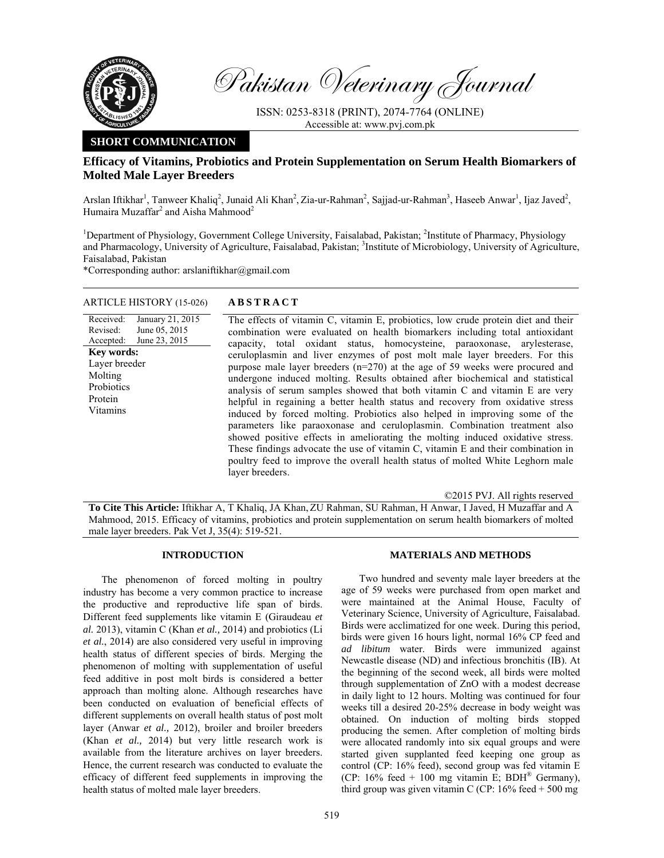

Pakistan Veterinary Journal

ISSN: 0253-8318 (PRINT), 2074-7764 (ONLINE) Accessible at: www.pvj.com.pk

# **SHORT COMMUNICATION**

## **Efficacy of Vitamins, Probiotics and Protein Supplementation on Serum Health Biomarkers of Molted Male Layer Breeders**

Arslan Iftikhar<sup>1</sup>, Tanweer Khaliq<sup>2</sup>, Junaid Ali Khan<sup>2</sup>, Zia-ur-Rahman<sup>2</sup>, Sajjad-ur-Rahman<sup>3</sup>, Haseeb Anwar<sup>1</sup>, Ijaz Javed<sup>2</sup>, Humaira Muzaffar<sup>2</sup> and Aisha Mahmood<sup>2</sup>

<sup>1</sup>Department of Physiology, Government College University, Faisalabad, Pakistan; <sup>2</sup>Institute of Pharmacy, Physiology and Pharmacology, University of Agriculture, Faisalabad, Pakistan; <sup>3</sup>Institute of Microbiology, University of Agriculture, Faisalabad, Pakistan

\*Corresponding author: arslaniftikhar@gmail.com

#### ARTICLE HISTORY (15-026) **ABSTRACT**

Received: Revised: Accepted: January 21, 2015 June 05, 2015 June 23, 2015 The effects of vitamin C, vitamin E, probiotics, low crude protein diet and their combination were evaluated on health biomarkers including total antioxidant capacity, total oxidant status, homocysteine, paraoxonase, arylesterase, ceruloplasmin and liver enzymes of post molt male layer breeders. For this purpose male layer breeders (n=270) at the age of 59 weeks were procured and undergone induced molting. Results obtained after biochemical and statistical analysis of serum samples showed that both vitamin C and vitamin E are very helpful in regaining a better health status and recovery from oxidative stress induced by forced molting. Probiotics also helped in improving some of the parameters like paraoxonase and ceruloplasmin. Combination treatment also showed positive effects in ameliorating the molting induced oxidative stress. These findings advocate the use of vitamin C, vitamin E and their combination in poultry feed to improve the overall health status of molted White Leghorn male layer breeders. **Key words:**  Layer breeder Molting **Probiotics** Protein Vitamins

©2015 PVJ. All rights reserved

**To Cite This Article:** Iftikhar A, T Khaliq, JA Khan, ZU Rahman, SU Rahman, H Anwar, I Javed, H Muzaffar and A Mahmood, 2015. Efficacy of vitamins, probiotics and protein supplementation on serum health biomarkers of molted male layer breeders. Pak Vet J, 35(4): 519-521.

### **INTRODUCTION**

The phenomenon of forced molting in poultry industry has become a very common practice to increase the productive and reproductive life span of birds. Different feed supplements like vitamin E (Giraudeau *et al.* 2013), vitamin C (Khan *et al.,* 2014) and probiotics (Li *et al.*, 2014) are also considered very useful in improving health status of different species of birds. Merging the phenomenon of molting with supplementation of useful feed additive in post molt birds is considered a better approach than molting alone. Although researches have been conducted on evaluation of beneficial effects of different supplements on overall health status of post molt layer (Anwar *et al.,* 2012), broiler and broiler breeders (Khan *et al.,* 2014) but very little research work is available from the literature archives on layer breeders. Hence, the current research was conducted to evaluate the efficacy of different feed supplements in improving the health status of molted male layer breeders.

#### **MATERIALS AND METHODS**

Two hundred and seventy male layer breeders at the age of 59 weeks were purchased from open market and were maintained at the Animal House, Faculty of Veterinary Science, University of Agriculture, Faisalabad. Birds were acclimatized for one week. During this period, birds were given 16 hours light, normal 16% CP feed and *ad libitum* water. Birds were immunized against Newcastle disease (ND) and infectious bronchitis (IB). At the beginning of the second week, all birds were molted through supplementation of ZnO with a modest decrease in daily light to 12 hours. Molting was continued for four weeks till a desired 20-25% decrease in body weight was obtained. On induction of molting birds stopped producing the semen. After completion of molting birds were allocated randomly into six equal groups and were started given supplanted feed keeping one group as control (CP: 16% feed), second group was fed vitamin E (CP:  $16\%$  feed + 100 mg vitamin E; BDH<sup>®</sup> Germany), third group was given vitamin C (CP:  $16\%$  feed  $+ 500$  mg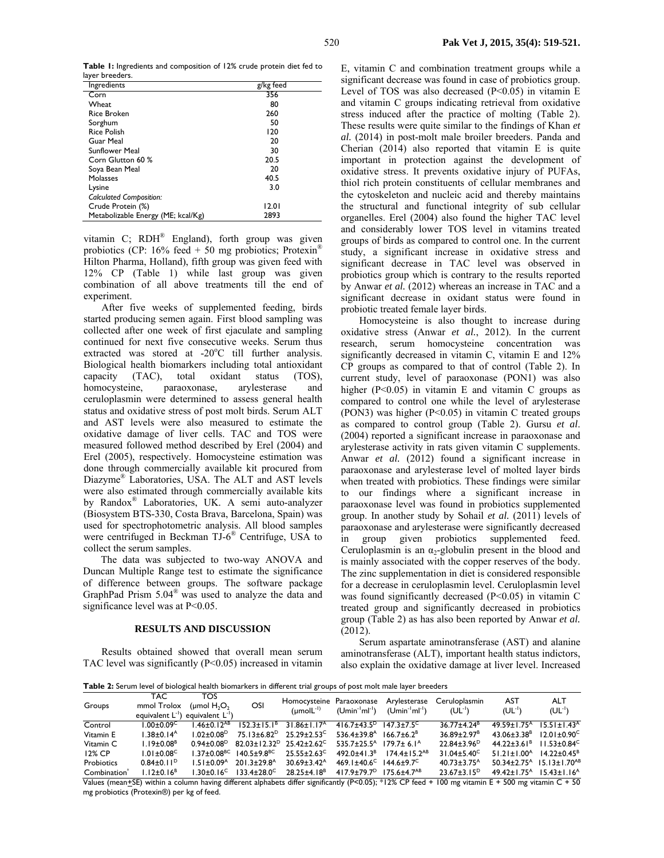**Table 1:** Ingredients and composition of 12% crude protein diet fed to layer breeders.

| Ingredients                        | g/kg feed |
|------------------------------------|-----------|
| Corn                               | 356       |
| Wheat                              | 80        |
| Rice Broken                        | 260       |
| Sorghum                            | 50        |
| <b>Rice Polish</b>                 | 120       |
| Guar Meal                          | 20        |
| <b>Sunflower Meal</b>              | 30        |
| Corn Glutton 60 %                  | 20.5      |
| Soya Bean Meal                     | 20        |
| Molasses                           | 40.5      |
| Lysine                             | 3.0       |
| <b>Calculated Composition:</b>     |           |
| Crude Protein (%)                  | 12.01     |
| Metabolizable Energy (ME; kcal/Kg) | 2893      |

vitamin C; RDH® England), forth group was given probiotics (CP:  $16\%$  feed + 50 mg probiotics; Protexin<sup>®</sup> Hilton Pharma, Holland), fifth group was given feed with 12% CP (Table 1) while last group was given combination of all above treatments till the end of experiment.

After five weeks of supplemented feeding, birds started producing semen again. First blood sampling was collected after one week of first ejaculate and sampling continued for next five consecutive weeks. Serum thus extracted was stored at  $-20^{\circ}$ C till further analysis. Biological health biomarkers including total antioxidant capacity (TAC), total oxidant status (TOS), homocysteine, paraoxonase, arylesterase and ceruloplasmin were determined to assess general health status and oxidative stress of post molt birds. Serum ALT and AST levels were also measured to estimate the oxidative damage of liver cells. TAC and TOS were measured followed method described by Erel (2004) and Erel (2005), respectively. Homocysteine estimation was done through commercially available kit procured from Diazyme® Laboratories, USA. The ALT and AST levels were also estimated through commercially available kits by Randox® Laboratories, UK. A semi auto-analyzer (Biosystem BTS-330, Costa Brava, Barcelona, Spain) was used for spectrophotometric analysis. All blood samples were centrifuged in Beckman TJ-6® Centrifuge, USA to collect the serum samples.

The data was subjected to two-way ANOVA and Duncan Multiple Range test to estimate the significance of difference between groups. The software package GraphPad Prism 5.04® was used to analyze the data and significance level was at P<0.05.

#### **RESULTS AND DISCUSSION**

Results obtained showed that overall mean serum TAC level was significantly (P<0.05) increased in vitamin E, vitamin C and combination treatment groups while a significant decrease was found in case of probiotics group. Level of TOS was also decreased  $(P<0.05)$  in vitamin E and vitamin C groups indicating retrieval from oxidative stress induced after the practice of molting (Table 2). These results were quite similar to the findings of Khan *et al.* (2014) in post-molt male broiler breeders. Panda and Cherian (2014) also reported that vitamin E is quite important in protection against the development of oxidative stress. It prevents oxidative injury of PUFAs, thiol rich protein constituents of cellular membranes and the cytoskeleton and nucleic acid and thereby maintains the structural and functional integrity of sub cellular organelles. Erel (2004) also found the higher TAC level and considerably lower TOS level in vitamins treated groups of birds as compared to control one. In the current study, a significant increase in oxidative stress and significant decrease in TAC level was observed in probiotics group which is contrary to the results reported by Anwar *et al.* (2012) whereas an increase in TAC and a significant decrease in oxidant status were found in probiotic treated female layer birds.

Homocysteine is also thought to increase during oxidative stress (Anwar *et al.*, 2012). In the current research, serum homocysteine concentration was significantly decreased in vitamin C, vitamin E and 12% CP groups as compared to that of control (Table 2). In current study, level of paraoxonase (PON1) was also higher  $(P<0.05)$  in vitamin E and vitamin C groups as compared to control one while the level of arylesterase (PON3) was higher (P<0.05) in vitamin C treated groups as compared to control group (Table 2). Gursu *et al*. (2004) reported a significant increase in paraoxonase and arylesterase activity in rats given vitamin C supplements. Anwar *et al.* (2012) found a significant increase in paraoxonase and arylesterase level of molted layer birds when treated with probiotics. These findings were similar to our findings where a significant increase in paraoxonase level was found in probiotics supplemented group. In another study by Sohail *et al.* (2011) levels of paraoxonase and arylesterase were significantly decreased in group given probiotics supplemented feed. Ceruloplasmin is an  $\alpha_2$ -globulin present in the blood and is mainly associated with the copper reserves of the body. The zinc supplementation in diet is considered responsible for a decrease in ceruloplasmin level. Ceruloplasmin level was found significantly decreased (P<0.05) in vitamin C treated group and significantly decreased in probiotics group (Table 2) as has also been reported by Anwar *et al.* (2012).

Serum aspartate aminotransferase (AST) and alanine aminotransferase (ALT), important health status indictors, also explain the oxidative damage at liver level. Increased

**Table 2:** Serum level of biological health biomarkers in different trial groups of post molt male layer breeders

| <b>Table 2.</b> Scram level of biological ficatur biolitances in since end and groups of pose more mate tayer bi ecsens |                              |                                                                             |                                                                 |                                                                                                                                               |                                                            |                                                                                                                        |                                      |                                                                                |                           |  |
|-------------------------------------------------------------------------------------------------------------------------|------------------------------|-----------------------------------------------------------------------------|-----------------------------------------------------------------|-----------------------------------------------------------------------------------------------------------------------------------------------|------------------------------------------------------------|------------------------------------------------------------------------------------------------------------------------|--------------------------------------|--------------------------------------------------------------------------------|---------------------------|--|
| Groups                                                                                                                  | TAC.<br>mmol Trolox          | <b>TOS</b><br>(umol $H_2O_2$<br>equivalent $L^{-1}$ ) equivalent $L^{-1}$ ) | OSI                                                             | $(molL^{-1})$                                                                                                                                 |                                                            | Homocysteine Paraoxonase Arylesterase<br>(Umin <sup>-I</sup> ml <sup>-I</sup> ) (Umin <sup>-I</sup> ml <sup>-I</sup> ) | Ceruloplasmin<br>(UL <sup>-1</sup> ) | AST<br>$(UL^{-1})$                                                             | <b>ALT</b><br>$(UL^{-1})$ |  |
| Control                                                                                                                 | $1.00 + 0.09^{\circ}$        | l.46±0.12 <sup>AB</sup>                                                     |                                                                 | $152.3 \pm 15.1^8$ 31.86 $\pm 1.17^4$                                                                                                         | $4167+435^{D}$ 1473+75 <sup>C</sup>                        |                                                                                                                        | $36.77 + 4.24^B$                     | $49.59 + 1.75$ <sup>A</sup>                                                    | $15.51 + 1.43A$           |  |
| Vitamin E                                                                                                               | $1.38 \pm 0.14$ <sup>A</sup> | $1.02 + 0.08$ <sup>D</sup>                                                  |                                                                 | $75.13 \pm 6.82^D$ $25.29 \pm 2.53^C$                                                                                                         | $536.4 \pm 39.8$ <sup>A</sup> 166.7 $\pm$ 6.2 <sup>B</sup> |                                                                                                                        | $36.89 \pm 2.97^8$                   | $43.06 \pm 3.38$ <sup>B</sup>                                                  | $12.01 \pm 0.90^{\circ}$  |  |
| Vitamin C                                                                                                               | $1.19 \pm 0.08^{\text{B}}$   |                                                                             |                                                                 | $0.94\pm0.08^{\circ}$ 82.03 $\pm$ 12.32 <sup>°</sup> 25.42 $\pm$ 2.62 <sup>°</sup> 535.7 $\pm$ 25.5 <sup>A</sup> 179.7 $\pm$ 6.1 <sup>A</sup> |                                                            |                                                                                                                        | $22.84 \pm 3.96^D$                   | $44.22 \pm 3.61^8$ 11.53 $\pm 0.84^C$                                          |                           |  |
| 12% CP                                                                                                                  | $1.01 \pm 0.08$ <sup>C</sup> |                                                                             | $1.37 \pm 0.08^{\text{BC}}$ 140.5 $\pm$ 9.8 <sup>BC</sup>       | $25.55 \pm 2.63^{\circ}$                                                                                                                      |                                                            | $492.0 \pm 41.3^B$ $174.4 \pm 15.2^{AB}$                                                                               | $31.04 \pm 5.40^{\circ}$             | $51.21 \pm 1.00^{A}$ $14.22 \pm 0.45^{B}$                                      |                           |  |
| Probiotics                                                                                                              | $0.84 \pm 0.11$ <sup>D</sup> | $1.51 \pm 0.09$ <sup>A</sup>                                                | 201.3±29.8 <sup>A</sup>                                         | $30.69 \pm 3.42^{\circ}$                                                                                                                      | $469.1 \pm 40.6^{\circ}$ $144.6 \pm 9.7^{\circ}$           |                                                                                                                        | $40.73 \pm 3.75$ <sup>A</sup>        | $50.34 \pm 2.75$ <sup>A</sup> $15.13 \pm 1.70$ <sup>AB</sup>                   |                           |  |
| Combination <sup>®</sup><br>$\cdots$                                                                                    | $1.12 \pm 0.16^B$            | $\cdots$                                                                    | $1.30 \pm 0.16$ <sup>C</sup> $133.4 \pm 28.0$ <sup>C</sup><br>. | $28.25 \pm 4.18$ <sup>B</sup><br>$\cdots$                                                                                                     | $417.9 \pm 79.7$ <sup>D</sup> 175.6 ± 4.7 <sup>AB</sup>    |                                                                                                                        | $23.67 \pm 3.15^{\circ}$             | $49.42 \pm 1.75$ <sup>A</sup> $15.43 \pm 1.16$ <sup>A</sup><br>- - - - - - - - |                           |  |

Values (mean+SE) within a column having different alphabets differ significantly (P<0.05); \*12% CP feed + 100 mg vitamin E + 500 mg vitamin C + 50 mg probiotics (Protexin®) per kg of feed.